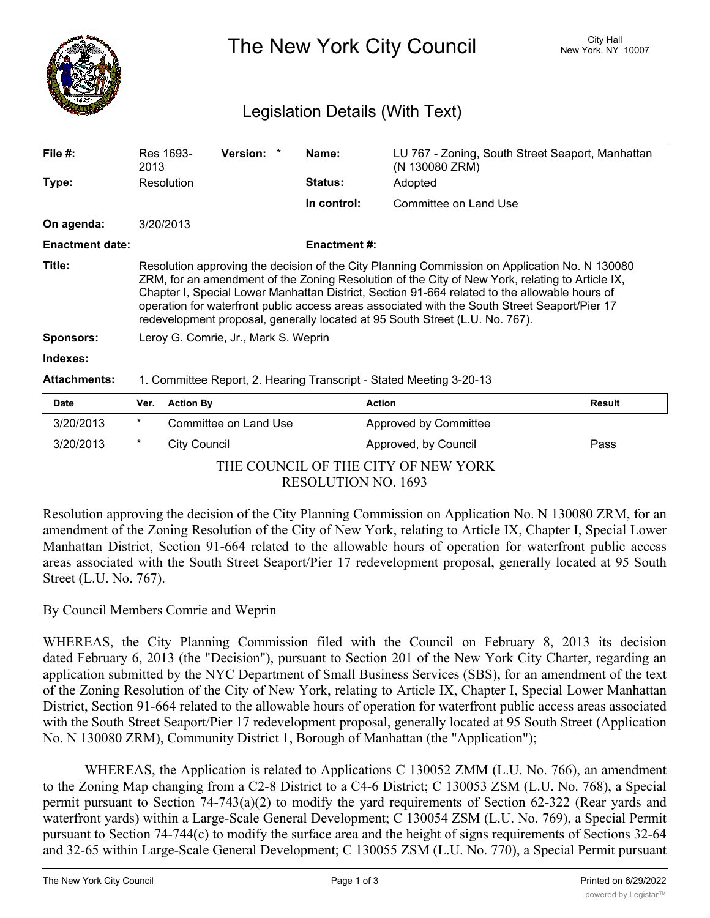

The New York City Council New York, NY 10007

## Legislation Details (With Text)

| File $#$ :             | Res 1693-<br>2013                                                                                                                                                                                                                                                                                                                                                                                                                                                                  | <b>Version:</b> | Name:          | LU 767 - Zoning, South Street Seaport, Manhattan<br>(N 130080 ZRM) |               |  |  |
|------------------------|------------------------------------------------------------------------------------------------------------------------------------------------------------------------------------------------------------------------------------------------------------------------------------------------------------------------------------------------------------------------------------------------------------------------------------------------------------------------------------|-----------------|----------------|--------------------------------------------------------------------|---------------|--|--|
| Type:                  | <b>Resolution</b>                                                                                                                                                                                                                                                                                                                                                                                                                                                                  |                 | <b>Status:</b> | Adopted                                                            |               |  |  |
|                        |                                                                                                                                                                                                                                                                                                                                                                                                                                                                                    |                 | In control:    | Committee on Land Use                                              |               |  |  |
| On agenda:             | 3/20/2013                                                                                                                                                                                                                                                                                                                                                                                                                                                                          |                 |                |                                                                    |               |  |  |
| <b>Enactment date:</b> | <b>Enactment #:</b>                                                                                                                                                                                                                                                                                                                                                                                                                                                                |                 |                |                                                                    |               |  |  |
| Title:                 | Resolution approving the decision of the City Planning Commission on Application No. N 130080<br>ZRM, for an amendment of the Zoning Resolution of the City of New York, relating to Article IX,<br>Chapter I, Special Lower Manhattan District, Section 91-664 related to the allowable hours of<br>operation for waterfront public access areas associated with the South Street Seaport/Pier 17<br>redevelopment proposal, generally located at 95 South Street (L.U. No. 767). |                 |                |                                                                    |               |  |  |
| <b>Sponsors:</b>       | Leroy G. Comrie, Jr., Mark S. Weprin                                                                                                                                                                                                                                                                                                                                                                                                                                               |                 |                |                                                                    |               |  |  |
| Indexes:               |                                                                                                                                                                                                                                                                                                                                                                                                                                                                                    |                 |                |                                                                    |               |  |  |
| <b>Attachments:</b>    | 1. Committee Report, 2. Hearing Transcript - Stated Meeting 3-20-13                                                                                                                                                                                                                                                                                                                                                                                                                |                 |                |                                                                    |               |  |  |
| <b>Date</b>            | <b>Action By</b><br>Ver.                                                                                                                                                                                                                                                                                                                                                                                                                                                           |                 |                | <b>Action</b>                                                      | <b>Result</b> |  |  |

| Date                                |   | Ver. Action By        | Action                       | Result |  |  |
|-------------------------------------|---|-----------------------|------------------------------|--------|--|--|
| 3/20/2013                           | * | Committee on Land Use | <b>Approved by Committee</b> |        |  |  |
| 3/20/2013                           |   | City Council          | Approved, by Council         | Pass   |  |  |
| THE COUNCIL OF THE CITY OF NEW YORK |   |                       |                              |        |  |  |
| <b>RESOLUTION NO. 1693</b>          |   |                       |                              |        |  |  |

Resolution approving the decision of the City Planning Commission on Application No. N 130080 ZRM, for an amendment of the Zoning Resolution of the City of New York, relating to Article IX, Chapter I, Special Lower Manhattan District, Section 91-664 related to the allowable hours of operation for waterfront public access areas associated with the South Street Seaport/Pier 17 redevelopment proposal, generally located at 95 South Street (L.U. No. 767).

#### By Council Members Comrie and Weprin

WHEREAS, the City Planning Commission filed with the Council on February 8, 2013 its decision dated February 6, 2013 (the "Decision"), pursuant to Section 201 of the New York City Charter, regarding an application submitted by the NYC Department of Small Business Services (SBS), for an amendment of the text of the Zoning Resolution of the City of New York, relating to Article IX, Chapter I, Special Lower Manhattan District, Section 91-664 related to the allowable hours of operation for waterfront public access areas associated with the South Street Seaport/Pier 17 redevelopment proposal, generally located at 95 South Street (Application No. N 130080 ZRM), Community District 1, Borough of Manhattan (the "Application");

WHEREAS, the Application is related to Applications C 130052 ZMM (L.U. No. 766), an amendment to the Zoning Map changing from a C2-8 District to a C4-6 District; C 130053 ZSM (L.U. No. 768), a Special permit pursuant to Section 74-743(a)(2) to modify the yard requirements of Section 62-322 (Rear yards and waterfront yards) within a Large-Scale General Development; C 130054 ZSM (L.U. No. 769), a Special Permit pursuant to Section 74-744(c) to modify the surface area and the height of signs requirements of Sections 32-64 and 32-65 within Large-Scale General Development; C 130055 ZSM (L.U. No. 770), a Special Permit pursuant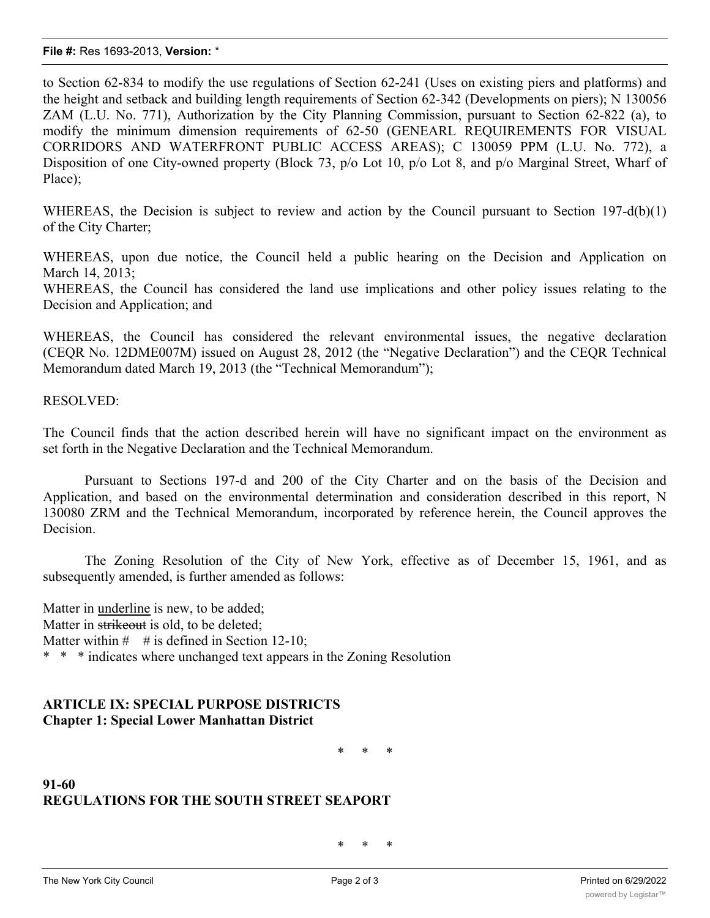to Section 62-834 to modify the use regulations of Section 62-241 (Uses on existing piers and platforms) and the height and setback and building length requirements of Section 62-342 (Developments on piers); N 130056 ZAM (L.U. No. 771), Authorization by the City Planning Commission, pursuant to Section 62-822 (a), to modify the minimum dimension requirements of 62-50 (GENEARL REQUIREMENTS FOR VISUAL CORRIDORS AND WATERFRONT PUBLIC ACCESS AREAS); C 130059 PPM (L.U. No. 772), a Disposition of one City-owned property (Block 73, p/o Lot 10, p/o Lot 8, and p/o Marginal Street, Wharf of Place);

WHEREAS, the Decision is subject to review and action by the Council pursuant to Section 197-d(b)(1) of the City Charter;

WHEREAS, upon due notice, the Council held a public hearing on the Decision and Application on March 14, 2013;

WHEREAS, the Council has considered the land use implications and other policy issues relating to the Decision and Application; and

WHEREAS, the Council has considered the relevant environmental issues, the negative declaration (CEQR No. 12DME007M) issued on August 28, 2012 (the "Negative Declaration") and the CEQR Technical Memorandum dated March 19, 2013 (the "Technical Memorandum");

RESOLVED:

The Council finds that the action described herein will have no significant impact on the environment as set forth in the Negative Declaration and the Technical Memorandum.

Pursuant to Sections 197-d and 200 of the City Charter and on the basis of the Decision and Application, and based on the environmental determination and consideration described in this report, N 130080 ZRM and the Technical Memorandum, incorporated by reference herein, the Council approves the Decision.

The Zoning Resolution of the City of New York, effective as of December 15, 1961, and as subsequently amended, is further amended as follows:

Matter in underline is new, to be added;

Matter in strikeout is old, to be deleted;

Matter within  $\#$  # is defined in Section 12-10;

\* \* \* indicates where unchanged text appears in the Zoning Resolution

## **ARTICLE IX: SPECIAL PURPOSE DISTRICTS Chapter 1: Special Lower Manhattan District**

\* \* \*

#### **91-60 REGULATIONS FOR THE SOUTH STREET SEAPORT**

\* \* \*